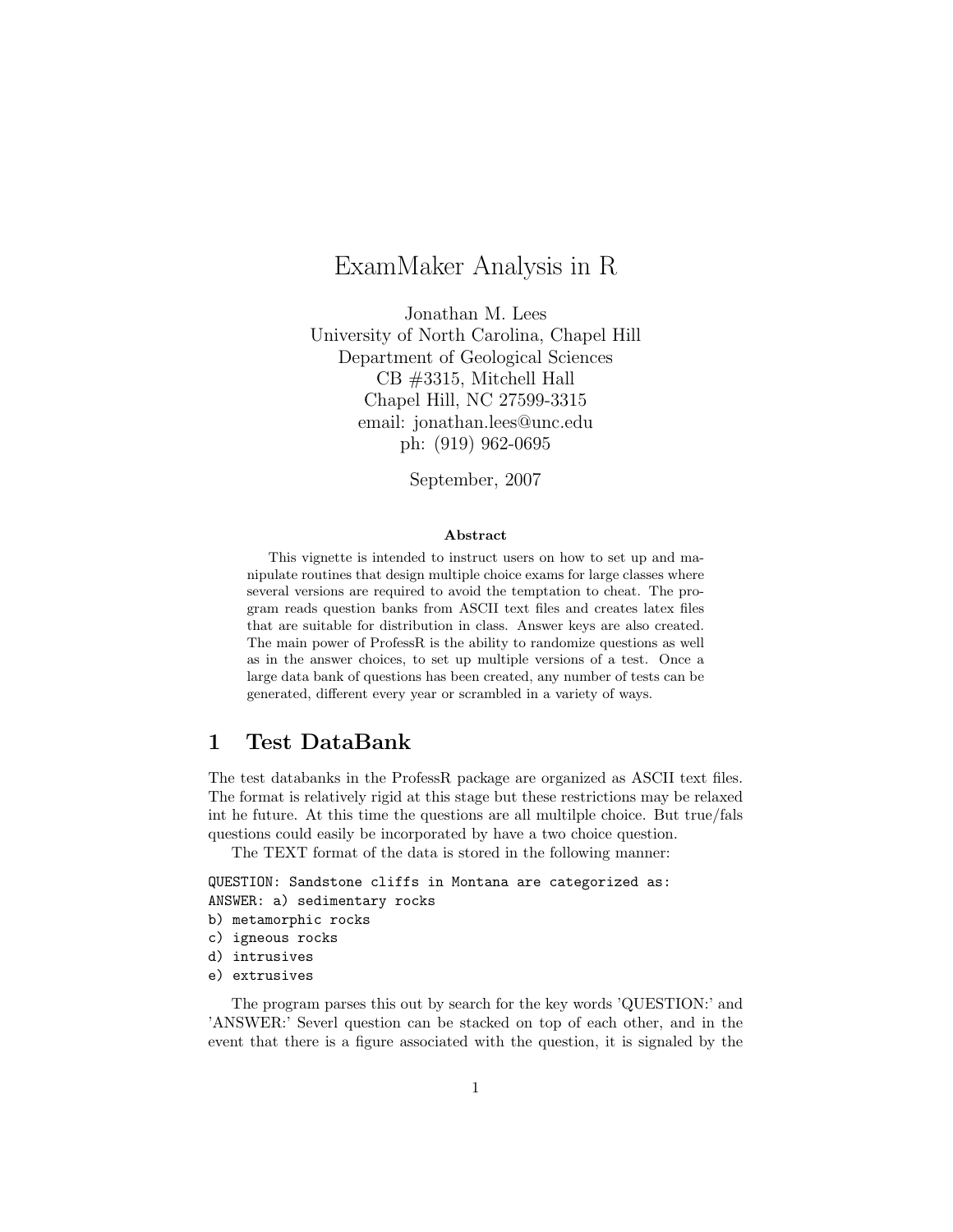# ExamMaker Analysis in R

Jonathan M. Lees University of North Carolina, Chapel Hill Department of Geological Sciences CB #3315, Mitchell Hall Chapel Hill, NC 27599-3315 email: jonathan.lees@unc.edu ph: (919) 962-0695

September, 2007

#### Abstract

This vignette is intended to instruct users on how to set up and manipulate routines that design multiple choice exams for large classes where several versions are required to avoid the temptation to cheat. The program reads question banks from ASCII text files and creates latex files that are suitable for distribution in class. Answer keys are also created. The main power of ProfessR is the ability to randomize questions as well as in the answer choices, to set up multiple versions of a test. Once a large data bank of questions has been created, any number of tests can be generated, different every year or scrambled in a variety of ways.

## 1 Test DataBank

The test databanks in the ProfessR package are organized as ASCII text files. The format is relatively rigid at this stage but these restrictions may be relaxed int he future. At this time the questions are all multilple choice. But true/fals questions could easily be incorporated by have a two choice question.

The TEXT format of the data is stored in the following manner:

QUESTION: Sandstone cliffs in Montana are categorized as: ANSWER: a) sedimentary rocks

- b) metamorphic rocks
- c) igneous rocks
- d) intrusives
- e) extrusives

The program parses this out by search for the key words 'QUESTION:' and 'ANSWER:' Severl question can be stacked on top of each other, and in the event that there is a figure associated with the question, it is signaled by the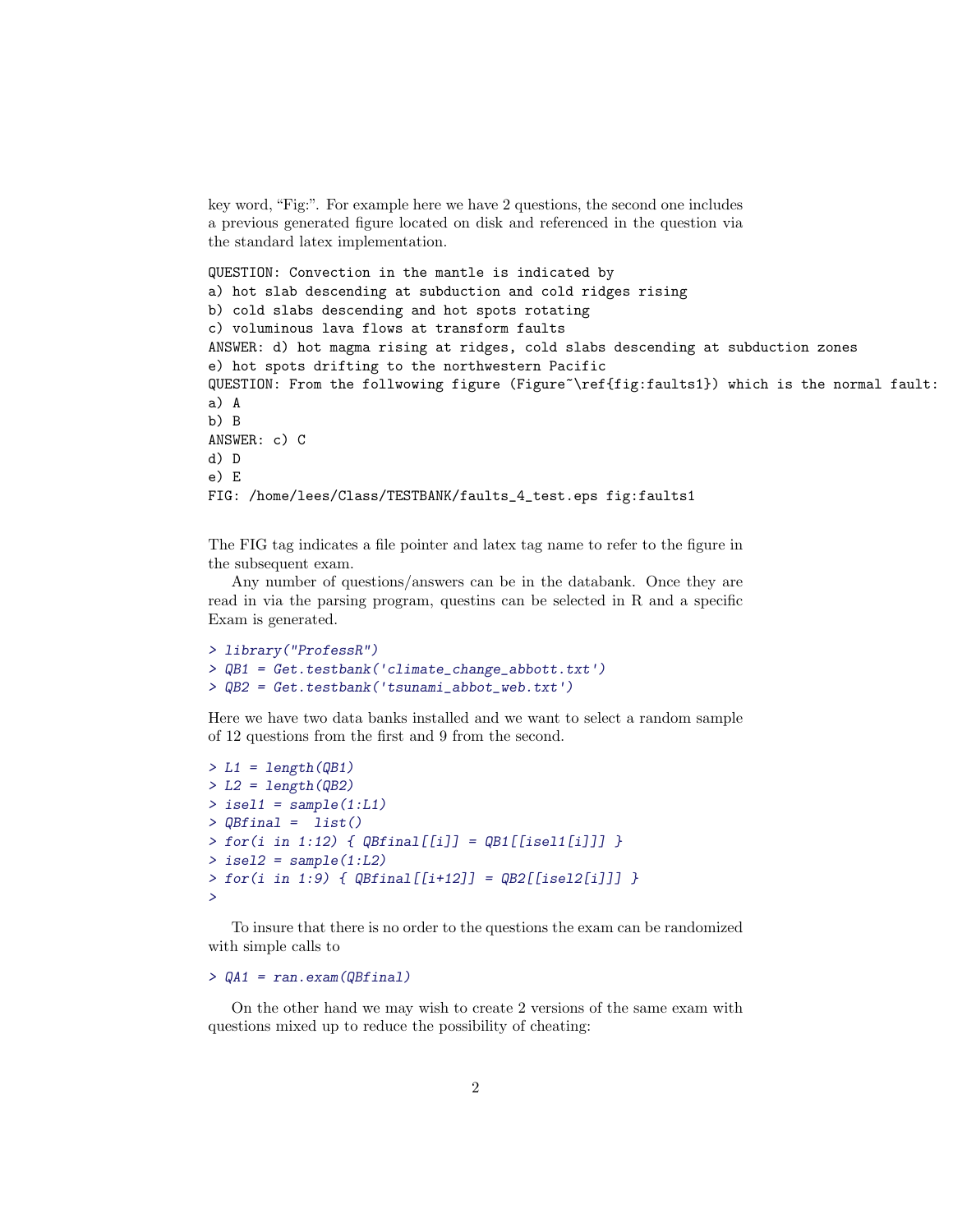key word, "Fig:". For example here we have 2 questions, the second one includes a previous generated figure located on disk and referenced in the question via the standard latex implementation.

```
QUESTION: Convection in the mantle is indicated by
a) hot slab descending at subduction and cold ridges rising
b) cold slabs descending and hot spots rotating
c) voluminous lava flows at transform faults
ANSWER: d) hot magma rising at ridges, cold slabs descending at subduction zones
e) hot spots drifting to the northwestern Pacific
QUESTION: From the follwowing figure (Figure~\ref{fig:faults1}) which is the normal fault:
a) A
b) B
ANSWER: c) C
d) D
e) E
FIG: /home/lees/Class/TESTBANK/faults_4_test.eps fig:faults1
```
The FIG tag indicates a file pointer and latex tag name to refer to the figure in the subsequent exam.

Any number of questions/answers can be in the databank. Once they are read in via the parsing program, questins can be selected in R and a specific Exam is generated.

```
> library("ProfessR")
> QB1 = Get.testbank('climate_change_abbott.txt')
> QB2 = Get.testbank('tsunami_abbot_web.txt')
```
Here we have two data banks installed and we want to select a random sample of 12 questions from the first and 9 from the second.

```
> L1 = length(QB1)> L2 = length(QB2)> isel1 = sample(1:L1)
> QBfinal = list()
> for(i in 1:12) { QBfinal[[i]] = QB1[[isel1[i]]] }
> isel2 = sample(1:L2)
> for(i in 1:9) { QBfinal[[i+12]] = QB2[[isel2[i]]] }>
```
To insure that there is no order to the questions the exam can be randomized with simple calls to

```
> QA1 = ran.exam(QBfinal)
```
On the other hand we may wish to create 2 versions of the same exam with questions mixed up to reduce the possibility of cheating: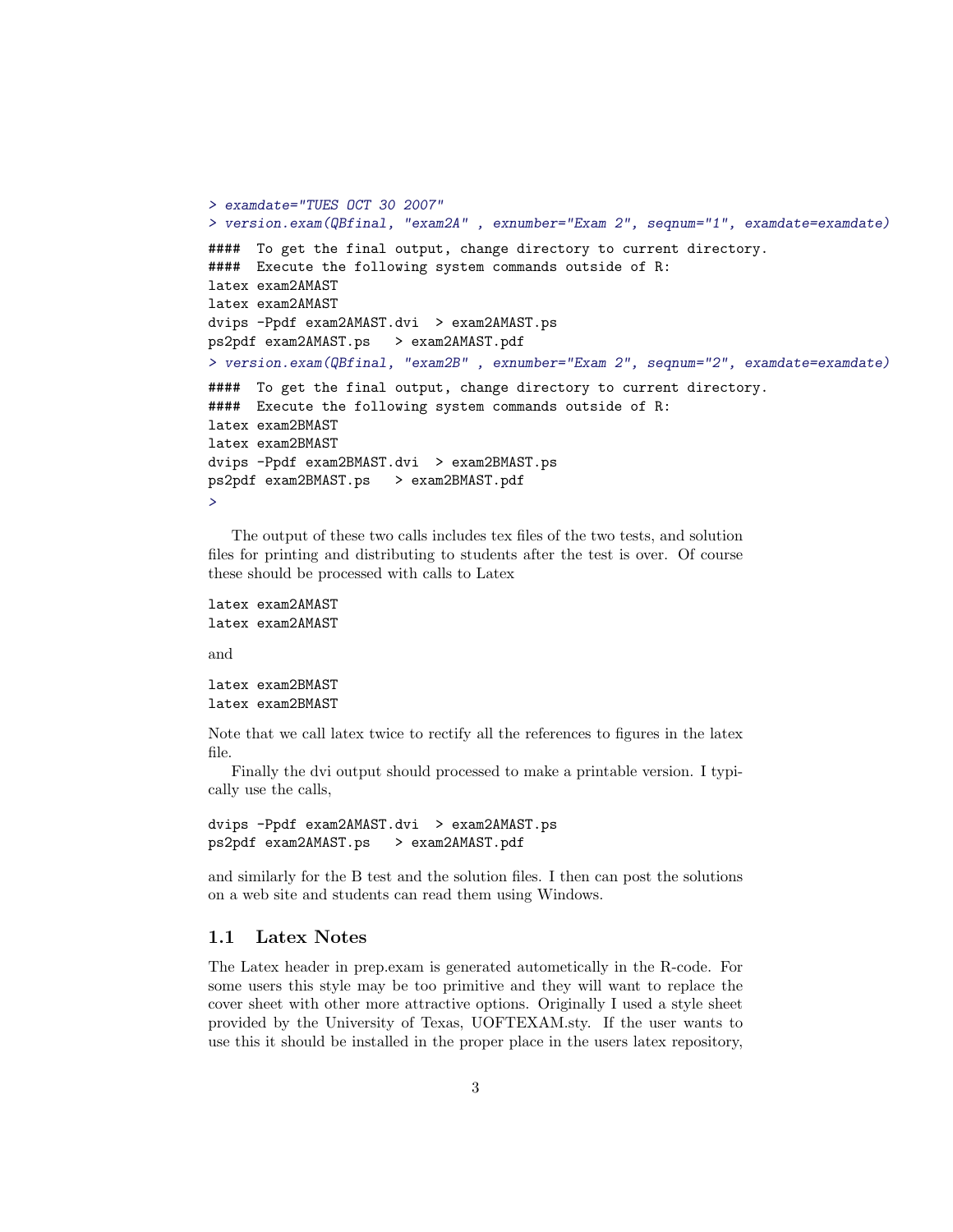```
> examdate="TUES OCT 30 2007"
> version.exam(QBfinal, "exam2A" , exnumber="Exam 2", seqnum="1", examdate=examdate)
#### To get the final output, change directory to current directory.
#### Execute the following system commands outside of R:
latex exam2AMAST
latex exam2AMAST
dvips -Ppdf exam2AMAST.dvi > exam2AMAST.ps
ps2pdf exam2AMAST.ps > exam2AMAST.pdf
> version.exam(QBfinal, "exam2B" , exnumber="Exam 2", seqnum="2", examdate=examdate)
#### To get the final output, change directory to current directory.
#### Execute the following system commands outside of R:
latex exam2BMAST
latex exam2BMAST
dvips -Ppdf exam2BMAST.dvi > exam2BMAST.ps
ps2pdf exam2BMAST.ps > exam2BMAST.pdf
>
```
The output of these two calls includes tex files of the two tests, and solution files for printing and distributing to students after the test is over. Of course these should be processed with calls to Latex

```
latex exam2AMAST
latex exam2AMAST
```
and

```
latex exam2BMAST
latex exam2BMAST
```
Note that we call latex twice to rectify all the references to figures in the latex file.

Finally the dvi output should processed to make a printable version. I typically use the calls,

```
dvips -Ppdf exam2AMAST.dvi > exam2AMAST.ps
ps2pdf exam2AMAST.ps > exam2AMAST.pdf
```
and similarly for the B test and the solution files. I then can post the solutions on a web site and students can read them using Windows.

### 1.1 Latex Notes

The Latex header in prep.exam is generated autometically in the R-code. For some users this style may be too primitive and they will want to replace the cover sheet with other more attractive options. Originally I used a style sheet provided by the University of Texas, UOFTEXAM.sty. If the user wants to use this it should be installed in the proper place in the users latex repository,